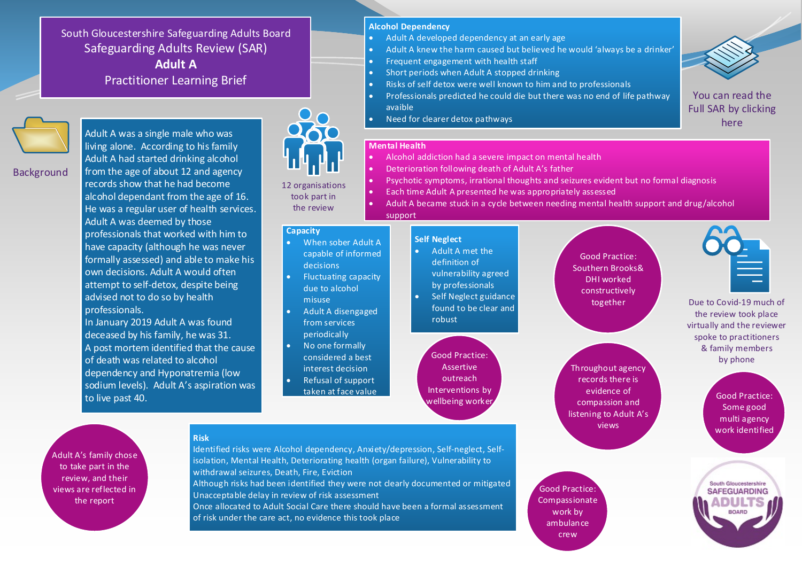South Gloucestershire Safeguarding Adults Board Safeguarding Adults Review (SAR) **Adult A** Practitioner Learning Brief



**Background** 

Adult A was a single male who was living alone. According to his family Adult A had started drinking alcohol from the age of about 12 and agency records show that he had become alcohol dependant from the age of 16. He was a regular user of health services. Adult A was deemed by those professionals that worked with him to have capacity (although he was never formally assessed) and able to make his own decisions. Adult A would often attempt to self-detox, despite being advised not to do so by health professionals. In January 2019 Adult A was found

deceased by his family, he was 31. A post mortem identified that the cause of death was related to alcohol dependency and Hyponatremia (low sodium levels). Adult A's aspiration was to live past 40.

**Risk**

12 organisations took part in the review

#### **Capacity**

- When sober Adult A capable of informed decisions
- Fluctuating capacity due to alcohol misuse
- Adult A disengaged from services periodically
- No one formally considered a best interest decision
- Refusal of support taken at face value

## **Alcohol Dependency**

- Adult A developed dependency at an early age
- Adult A knew the harm caused but believed he would 'always be a drinker'
- Frequent engagement with health staff
- Short periods when Adult A stopped drinking
- Risks of self detox were well known to him and to professionals
- Professionals predicted he could die but there was no end of life pathway avaible
- $\bullet$  Need for clearer detox pathways

#### **Mental Health**

- Alcohol addiction had a severe impact on mental health
- **Deterioration following death of Adult A's father**
- Psychotic symptoms, irrational thoughts and seizures evident but no formal diagnosis
	- Each time Adult A presented he was appropriately assessed
- Adult A became stuck in a cycle between needing mental health support and drug/alcohol support

### **Self Neglect**

- Adult A met the definition of vulnerability agreed by professionals
- Self Neglect guidance found to be clear and robust

Good Practice: Assertive outreach Interventions by

Good Practice: Southern Brooks& DHI worked constructively together

wellbeing worker Good Practice:<br>wellbeing worker Good Practice: Throughout agency records there is evidence of compassion and listening to Adult A's views

Some good multi agency

South Gloucestershire **SAFEGUARDING** 

Adult A's family chose to take part in the review, and their views are reflected in the report

Identified risks were Alcohol dependency, Anxiety/depression, Self-neglect, Selfisolation, Mental Health, Deteriorating health (organ failure), Vulnerability to withdrawal seizures, Death, Fire, Eviction

Although risks had been identified they were not clearly documented or mitigated Unacceptable delay in review of risk assessment

Once allocated to Adult Social Care there should have been a formal assessment of risk under the care act, no evidence this took place

Good Practice: Compassionate work by ambulance crew

You can read the [Full SAR by clicking](http://sites.southglos.gov.uk/safeguarding/wp-content/uploads/sites/221/2015/05/SAR-Adult-A-Final-Version-July-2020-1.pdf)  here



the review took place virtually and the reviewer spoke to practitioners & family members by phone

work identified